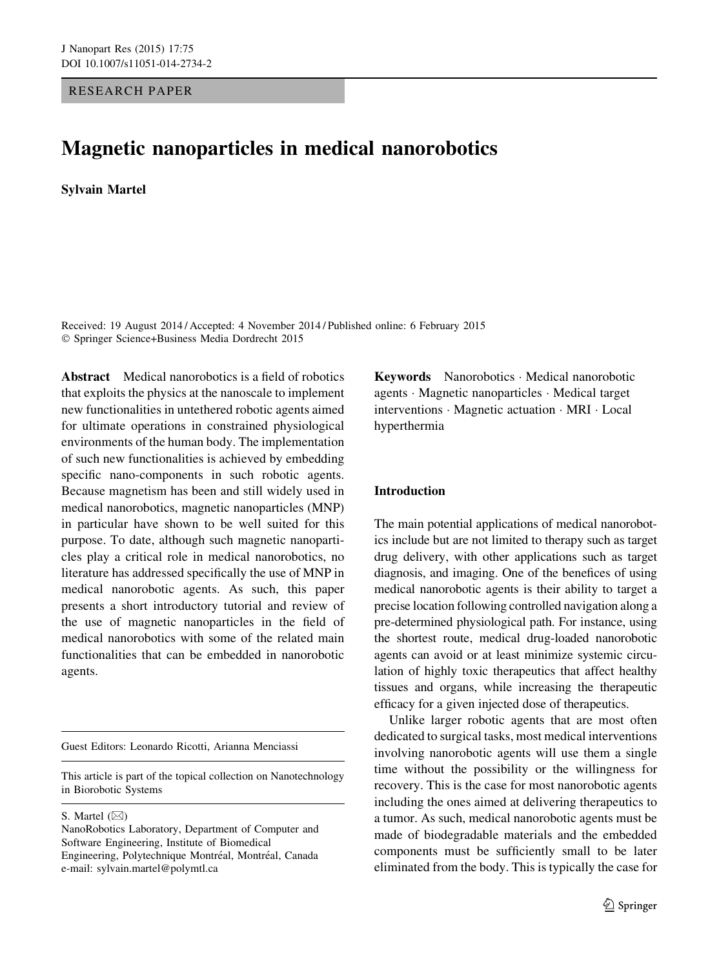RESEARCH PAPER

# Magnetic nanoparticles in medical nanorobotics

Sylvain Martel

Received: 19 August 2014 / Accepted: 4 November 2014 / Published online: 6 February 2015 - Springer Science+Business Media Dordrecht 2015

Abstract Medical nanorobotics is a field of robotics that exploits the physics at the nanoscale to implement new functionalities in untethered robotic agents aimed for ultimate operations in constrained physiological environments of the human body. The implementation of such new functionalities is achieved by embedding specific nano-components in such robotic agents. Because magnetism has been and still widely used in medical nanorobotics, magnetic nanoparticles (MNP) in particular have shown to be well suited for this purpose. To date, although such magnetic nanoparticles play a critical role in medical nanorobotics, no literature has addressed specifically the use of MNP in medical nanorobotic agents. As such, this paper presents a short introductory tutorial and review of the use of magnetic nanoparticles in the field of medical nanorobotics with some of the related main functionalities that can be embedded in nanorobotic agents.

Guest Editors: Leonardo Ricotti, Arianna Menciassi

This article is part of the topical collection on Nanotechnology in Biorobotic Systems

S. Martel  $(\boxtimes)$ 

Keywords Nanorobotics - Medical nanorobotic agents - Magnetic nanoparticles - Medical target interventions - Magnetic actuation - MRI - Local hyperthermia

### Introduction

The main potential applications of medical nanorobotics include but are not limited to therapy such as target drug delivery, with other applications such as target diagnosis, and imaging. One of the benefices of using medical nanorobotic agents is their ability to target a precise location following controlled navigation along a pre-determined physiological path. For instance, using the shortest route, medical drug-loaded nanorobotic agents can avoid or at least minimize systemic circulation of highly toxic therapeutics that affect healthy tissues and organs, while increasing the therapeutic efficacy for a given injected dose of therapeutics.

Unlike larger robotic agents that are most often dedicated to surgical tasks, most medical interventions involving nanorobotic agents will use them a single time without the possibility or the willingness for recovery. This is the case for most nanorobotic agents including the ones aimed at delivering therapeutics to a tumor. As such, medical nanorobotic agents must be made of biodegradable materials and the embedded components must be sufficiently small to be later eliminated from the body. This is typically the case for

NanoRobotics Laboratory, Department of Computer and Software Engineering, Institute of Biomedical Engineering, Polytechnique Montréal, Montréal, Canada e-mail: sylvain.martel@polymtl.ca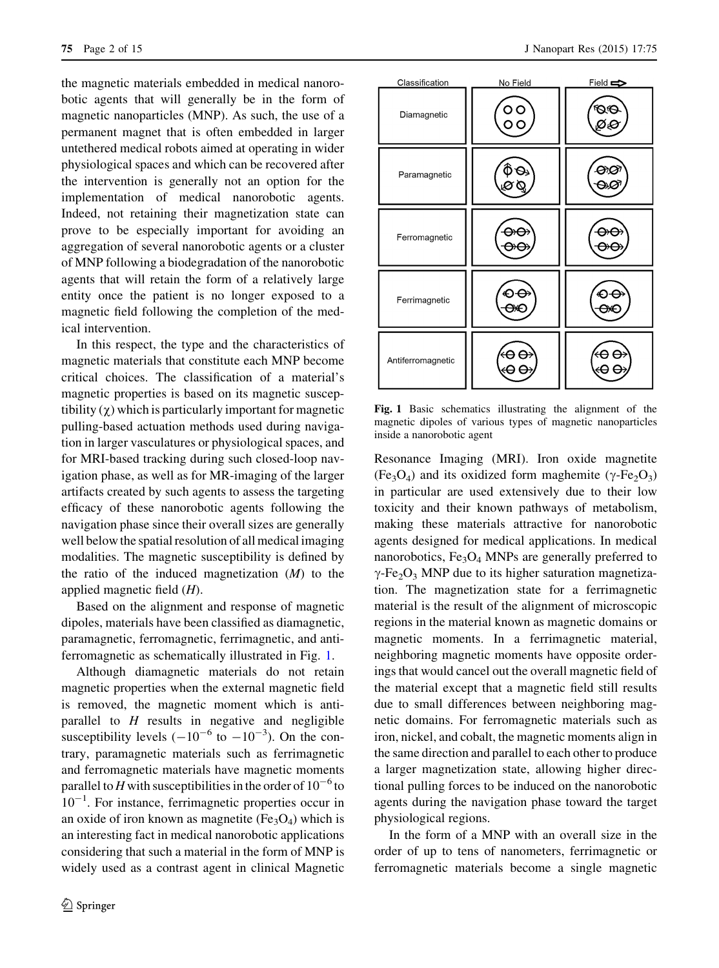the magnetic materials embedded in medical nanorobotic agents that will generally be in the form of magnetic nanoparticles (MNP). As such, the use of a permanent magnet that is often embedded in larger untethered medical robots aimed at operating in wider physiological spaces and which can be recovered after the intervention is generally not an option for the implementation of medical nanorobotic agents. Indeed, not retaining their magnetization state can prove to be especially important for avoiding an aggregation of several nanorobotic agents or a cluster of MNP following a biodegradation of the nanorobotic agents that will retain the form of a relatively large entity once the patient is no longer exposed to a magnetic field following the completion of the medical intervention.

In this respect, the type and the characteristics of magnetic materials that constitute each MNP become critical choices. The classification of a material's magnetic properties is based on its magnetic susceptibility  $(\gamma)$  which is particularly important for magnetic pulling-based actuation methods used during navigation in larger vasculatures or physiological spaces, and for MRI-based tracking during such closed-loop navigation phase, as well as for MR-imaging of the larger artifacts created by such agents to assess the targeting efficacy of these nanorobotic agents following the navigation phase since their overall sizes are generally well below the spatial resolution of all medical imaging modalities. The magnetic susceptibility is defined by the ratio of the induced magnetization  $(M)$  to the applied magnetic field  $(H)$ .

Based on the alignment and response of magnetic dipoles, materials have been classified as diamagnetic, paramagnetic, ferromagnetic, ferrimagnetic, and antiferromagnetic as schematically illustrated in Fig. 1.

Although diamagnetic materials do not retain magnetic properties when the external magnetic field is removed, the magnetic moment which is antiparallel to  $H$  results in negative and negligible susceptibility levels  $(-10^{-6}$  to  $-10^{-3})$ . On the contrary, paramagnetic materials such as ferrimagnetic and ferromagnetic materials have magnetic moments parallel to H with susceptibilities in the order of  $10^{-6}$  to  $10^{-1}$ . For instance, ferrimagnetic properties occur in an oxide of iron known as magnetite (Fe<sub>3</sub>O<sub>4</sub>) which is an interesting fact in medical nanorobotic applications considering that such a material in the form of MNP is widely used as a contrast agent in clinical Magnetic



Fig. 1 Basic schematics illustrating the alignment of the magnetic dipoles of various types of magnetic nanoparticles inside a nanorobotic agent

Resonance Imaging (MRI). Iron oxide magnetite (Fe<sub>3</sub>O<sub>4</sub>) and its oxidized form maghemite ( $\gamma$ -Fe<sub>2</sub>O<sub>3</sub>) in particular are used extensively due to their low toxicity and their known pathways of metabolism, making these materials attractive for nanorobotic agents designed for medical applications. In medical nanorobotics,  $Fe<sub>3</sub>O<sub>4</sub>$  MNPs are generally preferred to  $\gamma$ -Fe<sub>2</sub>O<sub>3</sub> MNP due to its higher saturation magnetization. The magnetization state for a ferrimagnetic material is the result of the alignment of microscopic regions in the material known as magnetic domains or magnetic moments. In a ferrimagnetic material, neighboring magnetic moments have opposite orderings that would cancel out the overall magnetic field of the material except that a magnetic field still results due to small differences between neighboring magnetic domains. For ferromagnetic materials such as iron, nickel, and cobalt, the magnetic moments align in the same direction and parallel to each other to produce a larger magnetization state, allowing higher directional pulling forces to be induced on the nanorobotic agents during the navigation phase toward the target physiological regions.

In the form of a MNP with an overall size in the order of up to tens of nanometers, ferrimagnetic or ferromagnetic materials become a single magnetic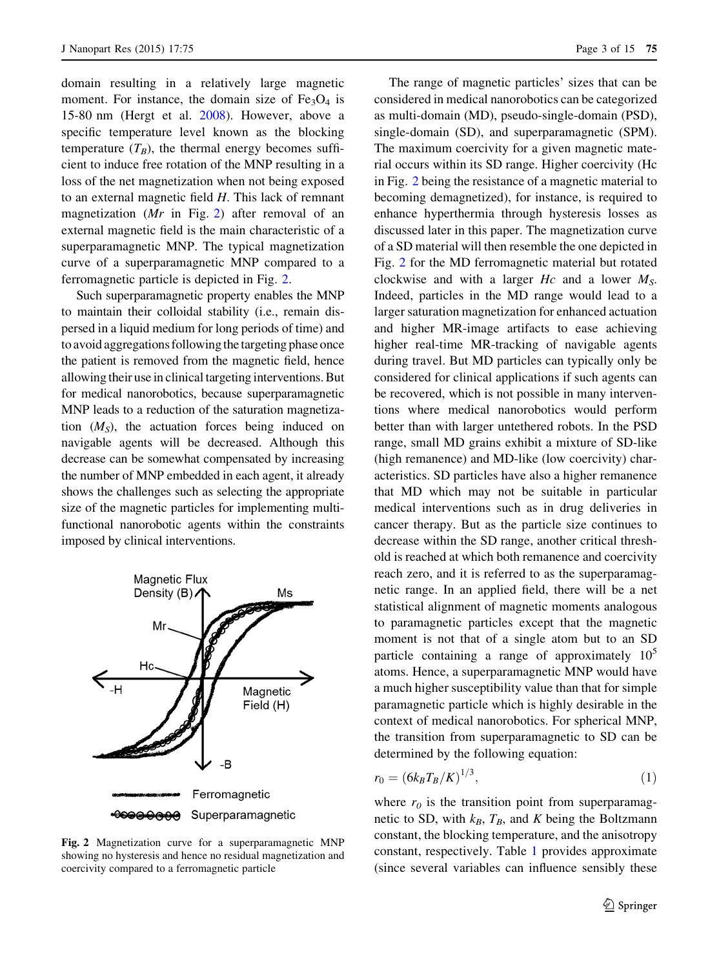domain resulting in a relatively large magnetic moment. For instance, the domain size of  $Fe<sub>3</sub>O<sub>4</sub>$  is 15-80 nm (Hergt et al. [2008\)](#page-13-0). However, above a specific temperature level known as the blocking temperature  $(T_B)$ , the thermal energy becomes sufficient to induce free rotation of the MNP resulting in a loss of the net magnetization when not being exposed to an external magnetic field  $H$ . This lack of remnant magnetization  $(Mr$  in Fig. 2) after removal of an external magnetic field is the main characteristic of a superparamagnetic MNP. The typical magnetization curve of a superparamagnetic MNP compared to a ferromagnetic particle is depicted in Fig. 2.

Such superparamagnetic property enables the MNP to maintain their colloidal stability (i.e., remain dispersed in a liquid medium for long periods of time) and to avoid aggregations following the targeting phase once the patient is removed from the magnetic field, hence allowing their use in clinical targeting interventions. But for medical nanorobotics, because superparamagnetic MNP leads to a reduction of the saturation magnetization  $(M<sub>S</sub>)$ , the actuation forces being induced on navigable agents will be decreased. Although this decrease can be somewhat compensated by increasing the number of MNP embedded in each agent, it already shows the challenges such as selecting the appropriate size of the magnetic particles for implementing multifunctional nanorobotic agents within the constraints imposed by clinical interventions.



Fig. 2 Magnetization curve for a superparamagnetic MNP showing no hysteresis and hence no residual magnetization and coercivity compared to a ferromagnetic particle

The range of magnetic particles' sizes that can be considered in medical nanorobotics can be categorized as multi-domain (MD), pseudo-single-domain (PSD), single-domain (SD), and superparamagnetic (SPM). The maximum coercivity for a given magnetic material occurs within its SD range. Higher coercivity (Hc in Fig. 2 being the resistance of a magnetic material to becoming demagnetized), for instance, is required to enhance hyperthermia through hysteresis losses as discussed later in this paper. The magnetization curve of a SD material will then resemble the one depicted in Fig. 2 for the MD ferromagnetic material but rotated clockwise and with a larger  $Hc$  and a lower  $M<sub>S</sub>$ . Indeed, particles in the MD range would lead to a larger saturation magnetization for enhanced actuation and higher MR-image artifacts to ease achieving higher real-time MR-tracking of navigable agents during travel. But MD particles can typically only be considered for clinical applications if such agents can be recovered, which is not possible in many interventions where medical nanorobotics would perform better than with larger untethered robots. In the PSD range, small MD grains exhibit a mixture of SD-like (high remanence) and MD-like (low coercivity) characteristics. SD particles have also a higher remanence that MD which may not be suitable in particular medical interventions such as in drug deliveries in cancer therapy. But as the particle size continues to decrease within the SD range, another critical threshold is reached at which both remanence and coercivity reach zero, and it is referred to as the superparamagnetic range. In an applied field, there will be a net statistical alignment of magnetic moments analogous to paramagnetic particles except that the magnetic moment is not that of a single atom but to an SD particle containing a range of approximately  $10<sup>5</sup>$ atoms. Hence, a superparamagnetic MNP would have a much higher susceptibility value than that for simple paramagnetic particle which is highly desirable in the context of medical nanorobotics. For spherical MNP, the transition from superparamagnetic to SD can be determined by the following equation:

$$
r_0 = (6k_B T_B/K)^{1/3},\t\t(1)
$$

where  $r_0$  is the transition point from superparamagnetic to SD, with  $k_B$ ,  $T_B$ , and K being the Boltzmann constant, the blocking temperature, and the anisotropy constant, respectively. Table [1](#page-3-0) provides approximate (since several variables can influence sensibly these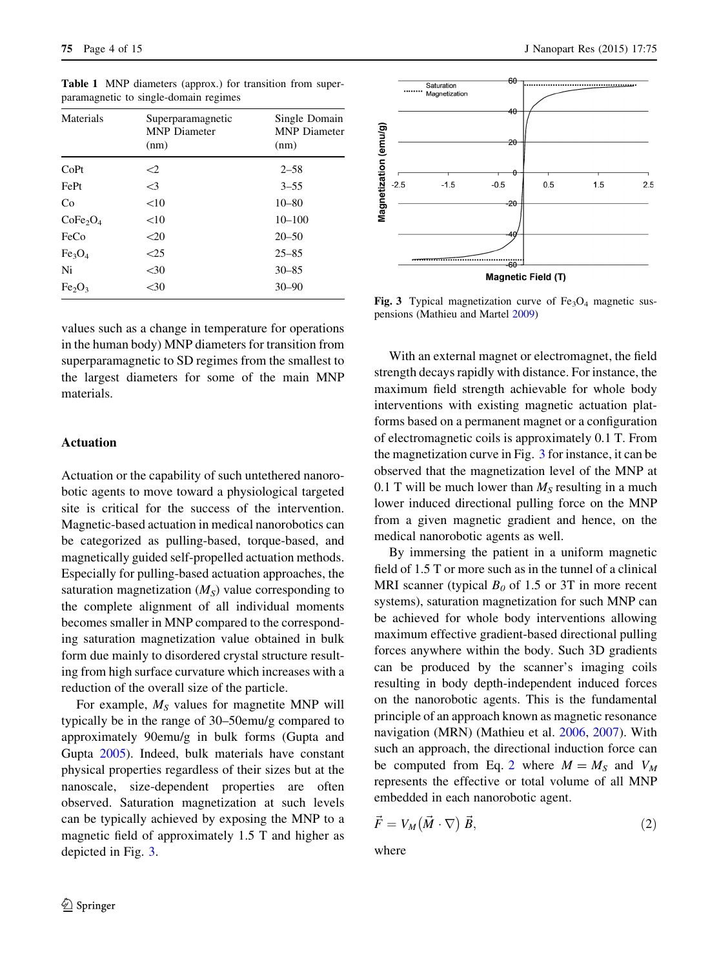| Materials                        | Superparamagnetic<br><b>MNP</b> Diameter<br>(nm) | Single Domain<br><b>MNP</b> Diameter<br>(nm) |
|----------------------------------|--------------------------------------------------|----------------------------------------------|
| CoPt                             | $\leq$ 2                                         | $2 - 58$                                     |
| FePt                             | $\leq$ 3                                         | $3 - 55$                                     |
| Co                               | <10                                              | $10 - 80$                                    |
| CoFe <sub>2</sub> O <sub>4</sub> | <10                                              | $10 - 100$                                   |
| FeCo                             | $20$                                             | $20 - 50$                                    |
| Fe <sub>3</sub> O <sub>4</sub>   | ${<}25$                                          | $25 - 85$                                    |
| Ni                               | $30$                                             | $30 - 85$                                    |
| Fe <sub>2</sub> O <sub>3</sub>   | $<$ 30                                           | $30 - 90$                                    |

<span id="page-3-0"></span>Table 1 MNP diameters (approx.) for transition from superparamagnetic to single-domain regimes

values such as a change in temperature for operations in the human body) MNP diameters for transition from superparamagnetic to SD regimes from the smallest to the largest diameters for some of the main MNP materials.

# Actuation

Actuation or the capability of such untethered nanorobotic agents to move toward a physiological targeted site is critical for the success of the intervention. Magnetic-based actuation in medical nanorobotics can be categorized as pulling-based, torque-based, and magnetically guided self-propelled actuation methods. Especially for pulling-based actuation approaches, the saturation magnetization  $(M<sub>S</sub>)$  value corresponding to the complete alignment of all individual moments becomes smaller in MNP compared to the corresponding saturation magnetization value obtained in bulk form due mainly to disordered crystal structure resulting from high surface curvature which increases with a reduction of the overall size of the particle.

For example,  $M<sub>S</sub>$  values for magnetite MNP will typically be in the range of 30–50emu/g compared to approximately 90emu/g in bulk forms (Gupta and Gupta [2005\)](#page-13-0). Indeed, bulk materials have constant physical properties regardless of their sizes but at the nanoscale, size-dependent properties are often observed. Saturation magnetization at such levels can be typically achieved by exposing the MNP to a magnetic field of approximately 1.5 T and higher as depicted in Fig. 3.



Magnetic Field (T)

Fig. 3 Typical magnetization curve of  $Fe<sub>3</sub>O<sub>4</sub>$  magnetic suspensions (Mathieu and Martel [2009](#page-13-0))

With an external magnet or electromagnet, the field strength decays rapidly with distance. For instance, the maximum field strength achievable for whole body interventions with existing magnetic actuation platforms based on a permanent magnet or a configuration of electromagnetic coils is approximately 0.1 T. From the magnetization curve in Fig. 3 for instance, it can be observed that the magnetization level of the MNP at 0.1 T will be much lower than  $M<sub>S</sub>$  resulting in a much lower induced directional pulling force on the MNP from a given magnetic gradient and hence, on the medical nanorobotic agents as well.

By immersing the patient in a uniform magnetic field of 1.5 T or more such as in the tunnel of a clinical MRI scanner (typical  $B_0$  of 1.5 or 3T in more recent systems), saturation magnetization for such MNP can be achieved for whole body interventions allowing maximum effective gradient-based directional pulling forces anywhere within the body. Such 3D gradients can be produced by the scanner's imaging coils resulting in body depth-independent induced forces on the nanorobotic agents. This is the fundamental principle of an approach known as magnetic resonance navigation (MRN) (Mathieu et al. [2006,](#page-13-0) [2007](#page-13-0)). With such an approach, the directional induction force can be computed from Eq. 2 where  $M = M_s$  and  $V_M$ represents the effective or total volume of all MNP embedded in each nanorobotic agent.

$$
\vec{F} = V_M(\vec{M} \cdot \nabla) \vec{B},\tag{2}
$$

where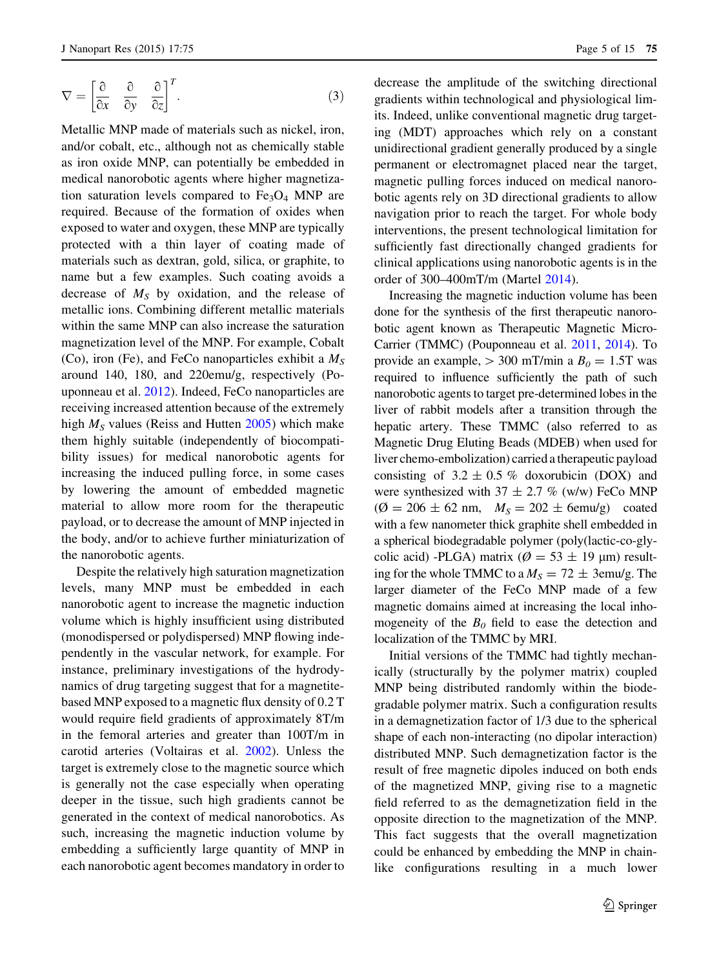$$
\nabla = \begin{bmatrix} \frac{\partial}{\partial x} & \frac{\partial}{\partial y} & \frac{\partial}{\partial z} \end{bmatrix}^T.
$$
 (3)

Metallic MNP made of materials such as nickel, iron, and/or cobalt, etc., although not as chemically stable as iron oxide MNP, can potentially be embedded in medical nanorobotic agents where higher magnetization saturation levels compared to  $Fe<sub>3</sub>O<sub>4</sub>$  MNP are required. Because of the formation of oxides when exposed to water and oxygen, these MNP are typically protected with a thin layer of coating made of materials such as dextran, gold, silica, or graphite, to name but a few examples. Such coating avoids a decrease of  $M<sub>S</sub>$  by oxidation, and the release of metallic ions. Combining different metallic materials within the same MNP can also increase the saturation magnetization level of the MNP. For example, Cobalt (Co), iron (Fe), and FeCo nanoparticles exhibit a  $M<sub>S</sub>$ around 140, 180, and 220emu/g, respectively (Pouponneau et al. [2012\)](#page-14-0). Indeed, FeCo nanoparticles are receiving increased attention because of the extremely high  $M<sub>S</sub>$  values (Reiss and Hutten [2005\)](#page-14-0) which make them highly suitable (independently of biocompatibility issues) for medical nanorobotic agents for increasing the induced pulling force, in some cases by lowering the amount of embedded magnetic material to allow more room for the therapeutic payload, or to decrease the amount of MNP injected in the body, and/or to achieve further miniaturization of the nanorobotic agents.

Despite the relatively high saturation magnetization levels, many MNP must be embedded in each nanorobotic agent to increase the magnetic induction volume which is highly insufficient using distributed (monodispersed or polydispersed) MNP flowing independently in the vascular network, for example. For instance, preliminary investigations of the hydrodynamics of drug targeting suggest that for a magnetitebased MNP exposed to a magnetic flux density of 0.2 T would require field gradients of approximately 8T/m in the femoral arteries and greater than 100T/m in carotid arteries (Voltairas et al. [2002\)](#page-14-0). Unless the target is extremely close to the magnetic source which is generally not the case especially when operating deeper in the tissue, such high gradients cannot be generated in the context of medical nanorobotics. As such, increasing the magnetic induction volume by embedding a sufficiently large quantity of MNP in each nanorobotic agent becomes mandatory in order to decrease the amplitude of the switching directional gradients within technological and physiological limits. Indeed, unlike conventional magnetic drug targeting (MDT) approaches which rely on a constant unidirectional gradient generally produced by a single permanent or electromagnet placed near the target, magnetic pulling forces induced on medical nanorobotic agents rely on 3D directional gradients to allow navigation prior to reach the target. For whole body interventions, the present technological limitation for sufficiently fast directionally changed gradients for clinical applications using nanorobotic agents is in the order of 300–400mT/m (Martel [2014\)](#page-13-0).

Increasing the magnetic induction volume has been done for the synthesis of the first therapeutic nanorobotic agent known as Therapeutic Magnetic Micro-Carrier (TMMC) (Pouponneau et al. [2011,](#page-14-0) [2014](#page-14-0)). To provide an example,  $> 300$  mT/min a  $B<sub>0</sub> = 1.5T$  was required to influence sufficiently the path of such nanorobotic agents to target pre-determined lobes in the liver of rabbit models after a transition through the hepatic artery. These TMMC (also referred to as Magnetic Drug Eluting Beads (MDEB) when used for liver chemo-embolization) carried a therapeutic payload consisting of  $3.2 \pm 0.5$  % doxorubicin (DOX) and were synthesized with  $37 \pm 2.7$  % (w/w) FeCo MNP  $(\emptyset = 206 \pm 62 \text{ nm}, M_s = 202 \pm 6 \text{emu/g})$  coated with a few nanometer thick graphite shell embedded in a spherical biodegradable polymer (poly(lactic-co-glycolic acid) -PLGA) matrix ( $\varnothing$  = 53  $\pm$  19  $\mu$ m) resulting for the whole TMMC to a  $M_s = 72 \pm 3$ emu/g. The larger diameter of the FeCo MNP made of a few magnetic domains aimed at increasing the local inhomogeneity of the  $B_0$  field to ease the detection and localization of the TMMC by MRI.

Initial versions of the TMMC had tightly mechanically (structurally by the polymer matrix) coupled MNP being distributed randomly within the biodegradable polymer matrix. Such a configuration results in a demagnetization factor of 1/3 due to the spherical shape of each non-interacting (no dipolar interaction) distributed MNP. Such demagnetization factor is the result of free magnetic dipoles induced on both ends of the magnetized MNP, giving rise to a magnetic field referred to as the demagnetization field in the opposite direction to the magnetization of the MNP. This fact suggests that the overall magnetization could be enhanced by embedding the MNP in chainlike configurations resulting in a much lower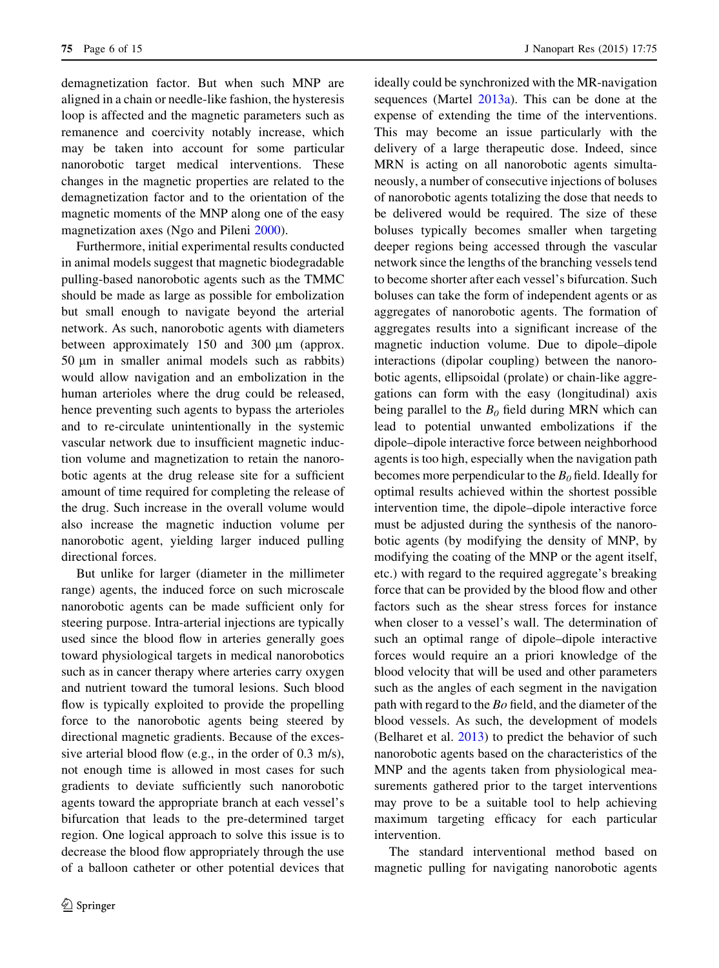demagnetization factor. But when such MNP are aligned in a chain or needle-like fashion, the hysteresis loop is affected and the magnetic parameters such as remanence and coercivity notably increase, which may be taken into account for some particular nanorobotic target medical interventions. These changes in the magnetic properties are related to the demagnetization factor and to the orientation of the magnetic moments of the MNP along one of the easy magnetization axes (Ngo and Pileni [2000\)](#page-14-0).

Furthermore, initial experimental results conducted in animal models suggest that magnetic biodegradable pulling-based nanorobotic agents such as the TMMC should be made as large as possible for embolization but small enough to navigate beyond the arterial network. As such, nanorobotic agents with diameters between approximately  $150$  and  $300 \mu m$  (approx. 50 lm in smaller animal models such as rabbits) would allow navigation and an embolization in the human arterioles where the drug could be released, hence preventing such agents to bypass the arterioles and to re-circulate unintentionally in the systemic vascular network due to insufficient magnetic induction volume and magnetization to retain the nanorobotic agents at the drug release site for a sufficient amount of time required for completing the release of the drug. Such increase in the overall volume would also increase the magnetic induction volume per nanorobotic agent, yielding larger induced pulling directional forces.

But unlike for larger (diameter in the millimeter range) agents, the induced force on such microscale nanorobotic agents can be made sufficient only for steering purpose. Intra-arterial injections are typically used since the blood flow in arteries generally goes toward physiological targets in medical nanorobotics such as in cancer therapy where arteries carry oxygen and nutrient toward the tumoral lesions. Such blood flow is typically exploited to provide the propelling force to the nanorobotic agents being steered by directional magnetic gradients. Because of the excessive arterial blood flow (e.g., in the order of 0.3 m/s), not enough time is allowed in most cases for such gradients to deviate sufficiently such nanorobotic agents toward the appropriate branch at each vessel's bifurcation that leads to the pre-determined target region. One logical approach to solve this issue is to decrease the blood flow appropriately through the use of a balloon catheter or other potential devices that ideally could be synchronized with the MR-navigation sequences (Martel [2013a\)](#page-13-0). This can be done at the expense of extending the time of the interventions. This may become an issue particularly with the delivery of a large therapeutic dose. Indeed, since MRN is acting on all nanorobotic agents simultaneously, a number of consecutive injections of boluses of nanorobotic agents totalizing the dose that needs to be delivered would be required. The size of these boluses typically becomes smaller when targeting deeper regions being accessed through the vascular network since the lengths of the branching vessels tend to become shorter after each vessel's bifurcation. Such boluses can take the form of independent agents or as aggregates of nanorobotic agents. The formation of aggregates results into a significant increase of the magnetic induction volume. Due to dipole–dipole interactions (dipolar coupling) between the nanorobotic agents, ellipsoidal (prolate) or chain-like aggregations can form with the easy (longitudinal) axis being parallel to the  $B_0$  field during MRN which can lead to potential unwanted embolizations if the dipole–dipole interactive force between neighborhood agents is too high, especially when the navigation path becomes more perpendicular to the  $B_0$  field. Ideally for optimal results achieved within the shortest possible intervention time, the dipole–dipole interactive force must be adjusted during the synthesis of the nanorobotic agents (by modifying the density of MNP, by modifying the coating of the MNP or the agent itself, etc.) with regard to the required aggregate's breaking force that can be provided by the blood flow and other factors such as the shear stress forces for instance when closer to a vessel's wall. The determination of such an optimal range of dipole–dipole interactive forces would require an a priori knowledge of the blood velocity that will be used and other parameters such as the angles of each segment in the navigation path with regard to the Bo field, and the diameter of the blood vessels. As such, the development of models (Belharet et al. [2013\)](#page-13-0) to predict the behavior of such nanorobotic agents based on the characteristics of the MNP and the agents taken from physiological measurements gathered prior to the target interventions may prove to be a suitable tool to help achieving maximum targeting efficacy for each particular intervention.

The standard interventional method based on magnetic pulling for navigating nanorobotic agents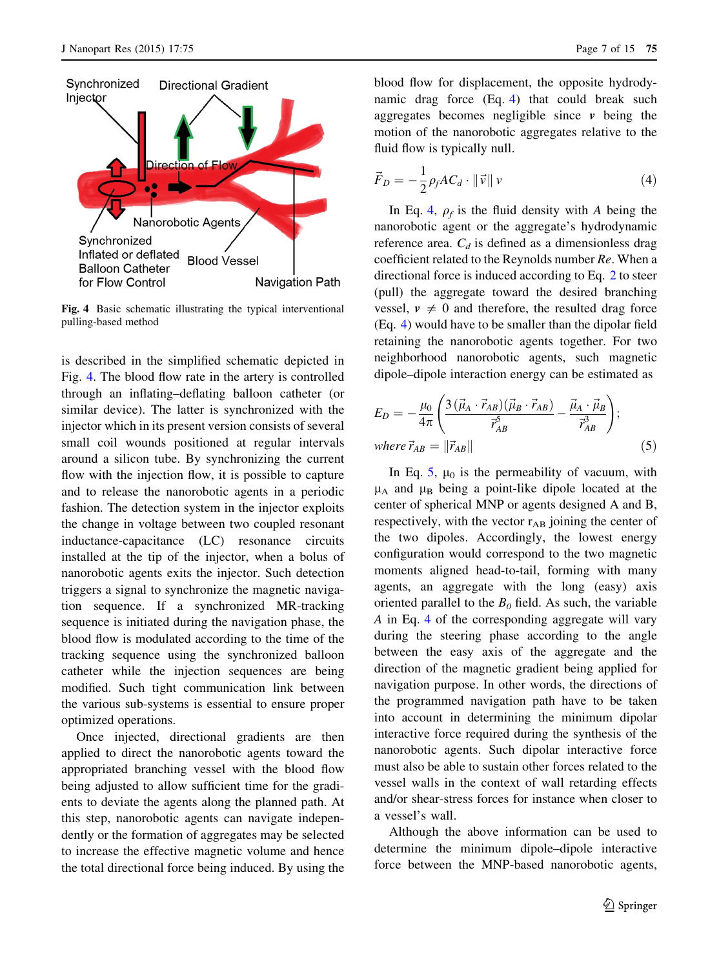

Fig. 4 Basic schematic illustrating the typical interventional pulling-based method

is described in the simplified schematic depicted in Fig. 4. The blood flow rate in the artery is controlled through an inflating–deflating balloon catheter (or similar device). The latter is synchronized with the injector which in its present version consists of several small coil wounds positioned at regular intervals around a silicon tube. By synchronizing the current flow with the injection flow, it is possible to capture and to release the nanorobotic agents in a periodic fashion. The detection system in the injector exploits the change in voltage between two coupled resonant inductance-capacitance (LC) resonance circuits installed at the tip of the injector, when a bolus of nanorobotic agents exits the injector. Such detection triggers a signal to synchronize the magnetic navigation sequence. If a synchronized MR-tracking sequence is initiated during the navigation phase, the blood flow is modulated according to the time of the tracking sequence using the synchronized balloon catheter while the injection sequences are being modified. Such tight communication link between the various sub-systems is essential to ensure proper optimized operations.

Once injected, directional gradients are then applied to direct the nanorobotic agents toward the appropriated branching vessel with the blood flow being adjusted to allow sufficient time for the gradients to deviate the agents along the planned path. At this step, nanorobotic agents can navigate independently or the formation of aggregates may be selected to increase the effective magnetic volume and hence the total directional force being induced. By using the blood flow for displacement, the opposite hydrodynamic drag force (Eq. 4) that could break such aggregates becomes negligible since  $\nu$  being the motion of the nanorobotic aggregates relative to the fluid flow is typically null.

$$
\vec{F}_D = -\frac{1}{2}\rho_f A C_d \cdot ||\vec{v}|| v \tag{4}
$$

In Eq. 4,  $\rho_f$  is the fluid density with A being the nanorobotic agent or the aggregate's hydrodynamic reference area.  $C_d$  is defined as a dimensionless drag coefficient related to the Reynolds number Re. When a directional force is induced according to Eq. [2](#page-3-0) to steer (pull) the aggregate toward the desired branching vessel,  $v \neq 0$  and therefore, the resulted drag force (Eq. 4) would have to be smaller than the dipolar field retaining the nanorobotic agents together. For two neighborhood nanorobotic agents, such magnetic dipole–dipole interaction energy can be estimated as

$$
E_D = -\frac{\mu_0}{4\pi} \left( \frac{3(\vec{\mu}_A \cdot \vec{r}_{AB})(\vec{\mu}_B \cdot \vec{r}_{AB})}{\vec{r}_{AB}^5} - \frac{\vec{\mu}_A \cdot \vec{\mu}_B}{\vec{r}_{AB}^3} \right);
$$
  
where  $\vec{r}_{AB} = ||\vec{r}_{AB}||$  (5)

In Eq. 5,  $\mu_0$  is the permeability of vacuum, with  $\mu_A$  and  $\mu_B$  being a point-like dipole located at the center of spherical MNP or agents designed A and B, respectively, with the vector  $r_{AB}$  joining the center of the two dipoles. Accordingly, the lowest energy configuration would correspond to the two magnetic moments aligned head-to-tail, forming with many agents, an aggregate with the long (easy) axis oriented parallel to the  $B_0$  field. As such, the variable A in Eq. 4 of the corresponding aggregate will vary during the steering phase according to the angle between the easy axis of the aggregate and the direction of the magnetic gradient being applied for navigation purpose. In other words, the directions of the programmed navigation path have to be taken into account in determining the minimum dipolar interactive force required during the synthesis of the nanorobotic agents. Such dipolar interactive force must also be able to sustain other forces related to the vessel walls in the context of wall retarding effects and/or shear-stress forces for instance when closer to a vessel's wall.

Although the above information can be used to determine the minimum dipole–dipole interactive force between the MNP-based nanorobotic agents,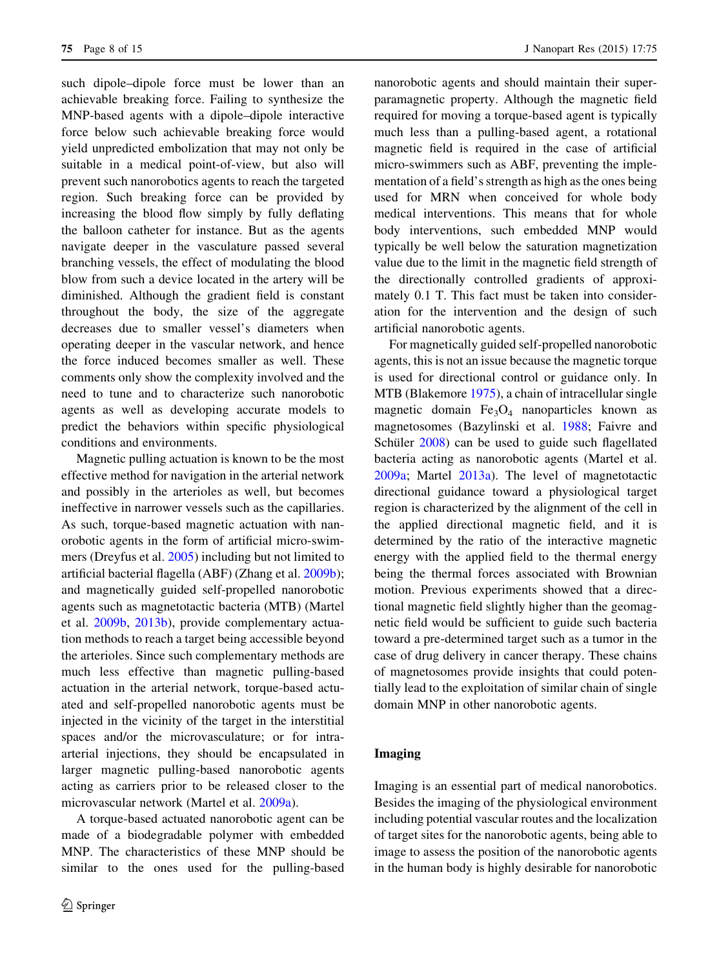such dipole–dipole force must be lower than an achievable breaking force. Failing to synthesize the MNP-based agents with a dipole–dipole interactive force below such achievable breaking force would yield unpredicted embolization that may not only be suitable in a medical point-of-view, but also will prevent such nanorobotics agents to reach the targeted region. Such breaking force can be provided by increasing the blood flow simply by fully deflating the balloon catheter for instance. But as the agents navigate deeper in the vasculature passed several branching vessels, the effect of modulating the blood blow from such a device located in the artery will be diminished. Although the gradient field is constant throughout the body, the size of the aggregate decreases due to smaller vessel's diameters when operating deeper in the vascular network, and hence the force induced becomes smaller as well. These comments only show the complexity involved and the need to tune and to characterize such nanorobotic agents as well as developing accurate models to predict the behaviors within specific physiological conditions and environments.

Magnetic pulling actuation is known to be the most effective method for navigation in the arterial network and possibly in the arterioles as well, but becomes ineffective in narrower vessels such as the capillaries. As such, torque-based magnetic actuation with nanorobotic agents in the form of artificial micro-swimmers (Dreyfus et al. [2005\)](#page-13-0) including but not limited to artificial bacterial flagella (ABF) (Zhang et al. [2009b](#page-14-0)); and magnetically guided self-propelled nanorobotic agents such as magnetotactic bacteria (MTB) (Martel et al. [2009b](#page-13-0), [2013b\)](#page-13-0), provide complementary actuation methods to reach a target being accessible beyond the arterioles. Since such complementary methods are much less effective than magnetic pulling-based actuation in the arterial network, torque-based actuated and self-propelled nanorobotic agents must be injected in the vicinity of the target in the interstitial spaces and/or the microvasculature; or for intraarterial injections, they should be encapsulated in larger magnetic pulling-based nanorobotic agents acting as carriers prior to be released closer to the microvascular network (Martel et al. [2009a\)](#page-13-0).

A torque-based actuated nanorobotic agent can be made of a biodegradable polymer with embedded MNP. The characteristics of these MNP should be similar to the ones used for the pulling-based nanorobotic agents and should maintain their superparamagnetic property. Although the magnetic field required for moving a torque-based agent is typically much less than a pulling-based agent, a rotational magnetic field is required in the case of artificial micro-swimmers such as ABF, preventing the implementation of a field's strength as high as the ones being used for MRN when conceived for whole body medical interventions. This means that for whole body interventions, such embedded MNP would typically be well below the saturation magnetization value due to the limit in the magnetic field strength of the directionally controlled gradients of approximately 0.1 T. This fact must be taken into consideration for the intervention and the design of such artificial nanorobotic agents.

For magnetically guided self-propelled nanorobotic agents, this is not an issue because the magnetic torque is used for directional control or guidance only. In MTB (Blakemore [1975\)](#page-13-0), a chain of intracellular single magnetic domain  $Fe<sub>3</sub>O<sub>4</sub>$  nanoparticles known as magnetosomes (Bazylinski et al. [1988](#page-13-0); Faivre and Schüler [2008](#page-13-0)) can be used to guide such flagellated bacteria acting as nanorobotic agents (Martel et al. [2009a](#page-13-0); Martel [2013a\)](#page-13-0). The level of magnetotactic directional guidance toward a physiological target region is characterized by the alignment of the cell in the applied directional magnetic field, and it is determined by the ratio of the interactive magnetic energy with the applied field to the thermal energy being the thermal forces associated with Brownian motion. Previous experiments showed that a directional magnetic field slightly higher than the geomagnetic field would be sufficient to guide such bacteria toward a pre-determined target such as a tumor in the case of drug delivery in cancer therapy. These chains of magnetosomes provide insights that could potentially lead to the exploitation of similar chain of single domain MNP in other nanorobotic agents.

# Imaging

Imaging is an essential part of medical nanorobotics. Besides the imaging of the physiological environment including potential vascular routes and the localization of target sites for the nanorobotic agents, being able to image to assess the position of the nanorobotic agents in the human body is highly desirable for nanorobotic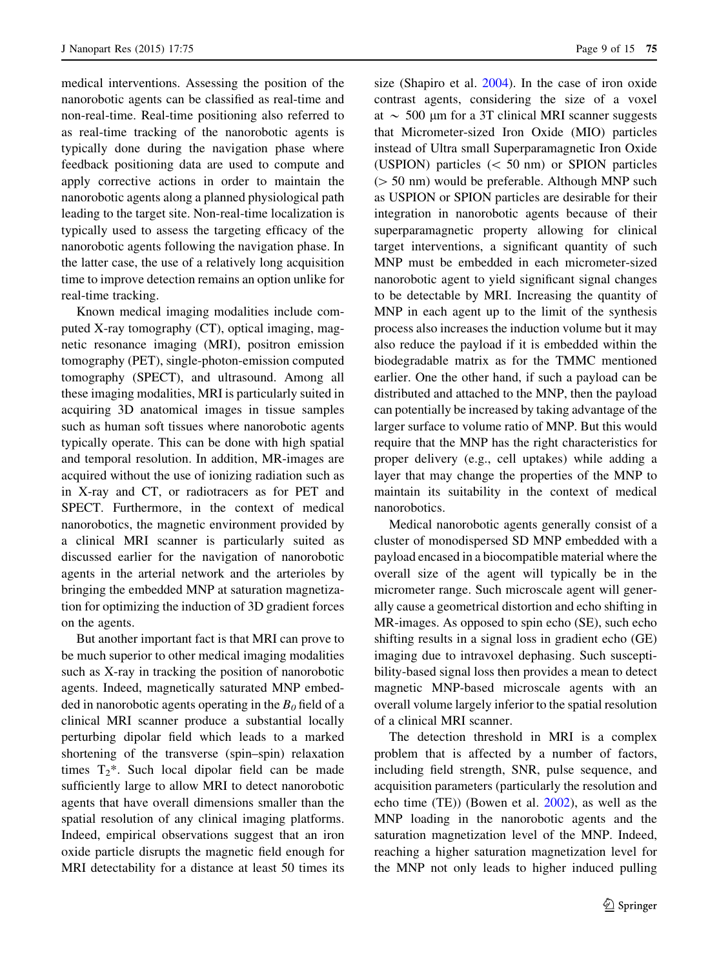medical interventions. Assessing the position of the nanorobotic agents can be classified as real-time and non-real-time. Real-time positioning also referred to as real-time tracking of the nanorobotic agents is typically done during the navigation phase where feedback positioning data are used to compute and apply corrective actions in order to maintain the nanorobotic agents along a planned physiological path leading to the target site. Non-real-time localization is typically used to assess the targeting efficacy of the nanorobotic agents following the navigation phase. In the latter case, the use of a relatively long acquisition time to improve detection remains an option unlike for real-time tracking.

Known medical imaging modalities include computed X-ray tomography (CT), optical imaging, magnetic resonance imaging (MRI), positron emission tomography (PET), single-photon-emission computed tomography (SPECT), and ultrasound. Among all these imaging modalities, MRI is particularly suited in acquiring 3D anatomical images in tissue samples such as human soft tissues where nanorobotic agents typically operate. This can be done with high spatial and temporal resolution. In addition, MR-images are acquired without the use of ionizing radiation such as in X-ray and CT, or radiotracers as for PET and SPECT. Furthermore, in the context of medical nanorobotics, the magnetic environment provided by a clinical MRI scanner is particularly suited as discussed earlier for the navigation of nanorobotic agents in the arterial network and the arterioles by bringing the embedded MNP at saturation magnetization for optimizing the induction of 3D gradient forces on the agents.

But another important fact is that MRI can prove to be much superior to other medical imaging modalities such as X-ray in tracking the position of nanorobotic agents. Indeed, magnetically saturated MNP embedded in nanorobotic agents operating in the  $B_0$  field of a clinical MRI scanner produce a substantial locally perturbing dipolar field which leads to a marked shortening of the transverse (spin–spin) relaxation times  $T_2^*$ . Such local dipolar field can be made sufficiently large to allow MRI to detect nanorobotic agents that have overall dimensions smaller than the spatial resolution of any clinical imaging platforms. Indeed, empirical observations suggest that an iron oxide particle disrupts the magnetic field enough for MRI detectability for a distance at least 50 times its

size (Shapiro et al. [2004](#page-14-0)). In the case of iron oxide contrast agents, considering the size of a voxel at  $\sim$  500 µm for a 3T clinical MRI scanner suggests that Micrometer-sized Iron Oxide (MIO) particles instead of Ultra small Superparamagnetic Iron Oxide (USPION) particles  $(< 50$  nm) or SPION particles  $(> 50$  nm) would be preferable. Although MNP such as USPION or SPION particles are desirable for their integration in nanorobotic agents because of their superparamagnetic property allowing for clinical target interventions, a significant quantity of such MNP must be embedded in each micrometer-sized nanorobotic agent to yield significant signal changes to be detectable by MRI. Increasing the quantity of MNP in each agent up to the limit of the synthesis process also increases the induction volume but it may also reduce the payload if it is embedded within the biodegradable matrix as for the TMMC mentioned earlier. One the other hand, if such a payload can be distributed and attached to the MNP, then the payload can potentially be increased by taking advantage of the larger surface to volume ratio of MNP. But this would require that the MNP has the right characteristics for proper delivery (e.g., cell uptakes) while adding a layer that may change the properties of the MNP to maintain its suitability in the context of medical nanorobotics.

Medical nanorobotic agents generally consist of a cluster of monodispersed SD MNP embedded with a payload encased in a biocompatible material where the overall size of the agent will typically be in the micrometer range. Such microscale agent will generally cause a geometrical distortion and echo shifting in MR-images. As opposed to spin echo (SE), such echo shifting results in a signal loss in gradient echo (GE) imaging due to intravoxel dephasing. Such susceptibility-based signal loss then provides a mean to detect magnetic MNP-based microscale agents with an overall volume largely inferior to the spatial resolution of a clinical MRI scanner.

The detection threshold in MRI is a complex problem that is affected by a number of factors, including field strength, SNR, pulse sequence, and acquisition parameters (particularly the resolution and echo time (TE)) (Bowen et al. [2002](#page-13-0)), as well as the MNP loading in the nanorobotic agents and the saturation magnetization level of the MNP. Indeed, reaching a higher saturation magnetization level for the MNP not only leads to higher induced pulling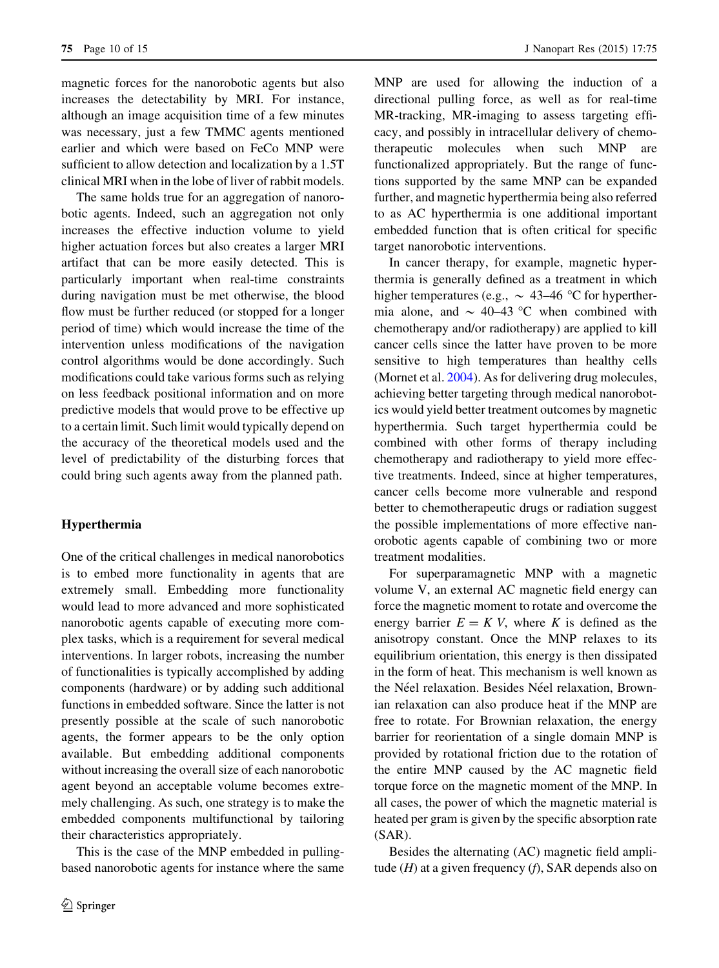magnetic forces for the nanorobotic agents but also increases the detectability by MRI. For instance, although an image acquisition time of a few minutes was necessary, just a few TMMC agents mentioned earlier and which were based on FeCo MNP were sufficient to allow detection and localization by a 1.5T clinical MRI when in the lobe of liver of rabbit models.

The same holds true for an aggregation of nanorobotic agents. Indeed, such an aggregation not only increases the effective induction volume to yield higher actuation forces but also creates a larger MRI artifact that can be more easily detected. This is particularly important when real-time constraints during navigation must be met otherwise, the blood flow must be further reduced (or stopped for a longer period of time) which would increase the time of the intervention unless modifications of the navigation control algorithms would be done accordingly. Such modifications could take various forms such as relying on less feedback positional information and on more predictive models that would prove to be effective up to a certain limit. Such limit would typically depend on the accuracy of the theoretical models used and the level of predictability of the disturbing forces that could bring such agents away from the planned path.

#### Hyperthermia

One of the critical challenges in medical nanorobotics is to embed more functionality in agents that are extremely small. Embedding more functionality would lead to more advanced and more sophisticated nanorobotic agents capable of executing more complex tasks, which is a requirement for several medical interventions. In larger robots, increasing the number of functionalities is typically accomplished by adding components (hardware) or by adding such additional functions in embedded software. Since the latter is not presently possible at the scale of such nanorobotic agents, the former appears to be the only option available. But embedding additional components without increasing the overall size of each nanorobotic agent beyond an acceptable volume becomes extremely challenging. As such, one strategy is to make the embedded components multifunctional by tailoring their characteristics appropriately.

This is the case of the MNP embedded in pullingbased nanorobotic agents for instance where the same MNP are used for allowing the induction of a directional pulling force, as well as for real-time MR-tracking, MR-imaging to assess targeting efficacy, and possibly in intracellular delivery of chemotherapeutic molecules when such MNP are functionalized appropriately. But the range of functions supported by the same MNP can be expanded further, and magnetic hyperthermia being also referred to as AC hyperthermia is one additional important embedded function that is often critical for specific target nanorobotic interventions.

In cancer therapy, for example, magnetic hyperthermia is generally defined as a treatment in which higher temperatures (e.g.,  $\sim 43-46$  °C for hyperthermia alone, and  $\sim$  40–43 °C when combined with chemotherapy and/or radiotherapy) are applied to kill cancer cells since the latter have proven to be more sensitive to high temperatures than healthy cells (Mornet et al. [2004](#page-14-0)). As for delivering drug molecules, achieving better targeting through medical nanorobotics would yield better treatment outcomes by magnetic hyperthermia. Such target hyperthermia could be combined with other forms of therapy including chemotherapy and radiotherapy to yield more effective treatments. Indeed, since at higher temperatures, cancer cells become more vulnerable and respond better to chemotherapeutic drugs or radiation suggest the possible implementations of more effective nanorobotic agents capable of combining two or more treatment modalities.

For superparamagnetic MNP with a magnetic volume V, an external AC magnetic field energy can force the magnetic moment to rotate and overcome the energy barrier  $E = K V$ , where K is defined as the anisotropy constant. Once the MNP relaxes to its equilibrium orientation, this energy is then dissipated in the form of heat. This mechanism is well known as the Néel relaxation. Besides Néel relaxation, Brownian relaxation can also produce heat if the MNP are free to rotate. For Brownian relaxation, the energy barrier for reorientation of a single domain MNP is provided by rotational friction due to the rotation of the entire MNP caused by the AC magnetic field torque force on the magnetic moment of the MNP. In all cases, the power of which the magnetic material is heated per gram is given by the specific absorption rate (SAR).

Besides the alternating (AC) magnetic field amplitude  $(H)$  at a given frequency  $(f)$ , SAR depends also on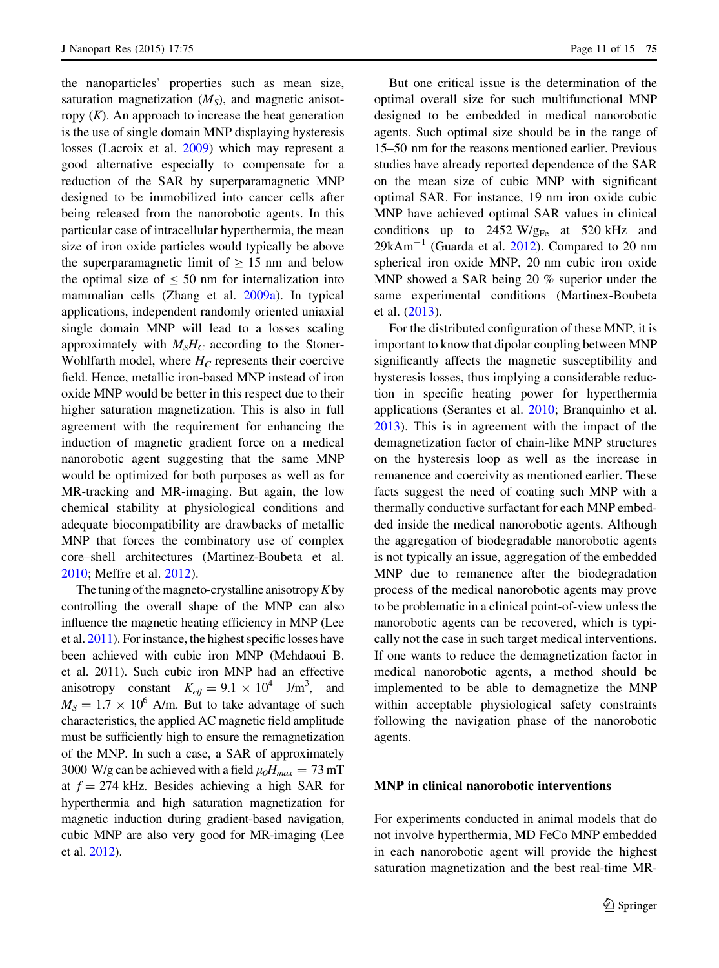the nanoparticles' properties such as mean size, saturation magnetization  $(M<sub>S</sub>)$ , and magnetic anisotropy  $(K)$ . An approach to increase the heat generation is the use of single domain MNP displaying hysteresis losses (Lacroix et al. [2009](#page-13-0)) which may represent a good alternative especially to compensate for a reduction of the SAR by superparamagnetic MNP designed to be immobilized into cancer cells after being released from the nanorobotic agents. In this particular case of intracellular hyperthermia, the mean size of iron oxide particles would typically be above the superparamagnetic limit of  $\geq 15$  nm and below the optimal size of  $\leq 50$  nm for internalization into mammalian cells (Zhang et al. [2009a\)](#page-14-0). In typical applications, independent randomly oriented uniaxial single domain MNP will lead to a losses scaling approximately with  $M_S H_C$  according to the Stoner-Wohlfarth model, where  $H_C$  represents their coercive field. Hence, metallic iron-based MNP instead of iron oxide MNP would be better in this respect due to their higher saturation magnetization. This is also in full agreement with the requirement for enhancing the induction of magnetic gradient force on a medical nanorobotic agent suggesting that the same MNP would be optimized for both purposes as well as for MR-tracking and MR-imaging. But again, the low chemical stability at physiological conditions and adequate biocompatibility are drawbacks of metallic MNP that forces the combinatory use of complex core–shell architectures (Martinez-Boubeta et al. [2010;](#page-13-0) Meffre et al. [2012](#page-14-0)).

The tuning of the magneto-crystalline anisotropy  $K$  by controlling the overall shape of the MNP can also influence the magnetic heating efficiency in MNP (Lee et al. [2011](#page-13-0)). For instance, the highest specific losses have been achieved with cubic iron MNP (Mehdaoui B. et al. 2011). Such cubic iron MNP had an effective anisotropy constant  $K_{\text{eff}} = 9.1 \times 10^4 \text{ J/m}^3$ , and  $M<sub>S</sub> = 1.7 \times 10^6$  A/m. But to take advantage of such characteristics, the applied AC magnetic field amplitude must be sufficiently high to ensure the remagnetization of the MNP. In such a case, a SAR of approximately 3000 W/g can be achieved with a field  $\mu_0H_{max} = 73$  mT at  $f = 274$  kHz. Besides achieving a high SAR for hyperthermia and high saturation magnetization for magnetic induction during gradient-based navigation, cubic MNP are also very good for MR-imaging (Lee et al. [2012](#page-13-0)).

But one critical issue is the determination of the optimal overall size for such multifunctional MNP designed to be embedded in medical nanorobotic agents. Such optimal size should be in the range of 15–50 nm for the reasons mentioned earlier. Previous studies have already reported dependence of the SAR on the mean size of cubic MNP with significant optimal SAR. For instance, 19 nm iron oxide cubic MNP have achieved optimal SAR values in clinical conditions up to  $2452 \text{ W/g}_{\text{Fe}}$  at  $520 \text{ kHz}$  and  $29kAm^{-1}$  (Guarda et al. [2012](#page-13-0)). Compared to 20 nm spherical iron oxide MNP, 20 nm cubic iron oxide MNP showed a SAR being 20 % superior under the same experimental conditions (Martinex-Boubeta et al. ([2013\)](#page-13-0).

For the distributed configuration of these MNP, it is important to know that dipolar coupling between MNP significantly affects the magnetic susceptibility and hysteresis losses, thus implying a considerable reduction in specific heating power for hyperthermia applications (Serantes et al. [2010](#page-14-0); Branquinho et al. [2013\)](#page-13-0). This is in agreement with the impact of the demagnetization factor of chain-like MNP structures on the hysteresis loop as well as the increase in remanence and coercivity as mentioned earlier. These facts suggest the need of coating such MNP with a thermally conductive surfactant for each MNP embedded inside the medical nanorobotic agents. Although the aggregation of biodegradable nanorobotic agents is not typically an issue, aggregation of the embedded MNP due to remanence after the biodegradation process of the medical nanorobotic agents may prove to be problematic in a clinical point-of-view unless the nanorobotic agents can be recovered, which is typically not the case in such target medical interventions. If one wants to reduce the demagnetization factor in medical nanorobotic agents, a method should be implemented to be able to demagnetize the MNP within acceptable physiological safety constraints following the navigation phase of the nanorobotic agents.

#### MNP in clinical nanorobotic interventions

For experiments conducted in animal models that do not involve hyperthermia, MD FeCo MNP embedded in each nanorobotic agent will provide the highest saturation magnetization and the best real-time MR-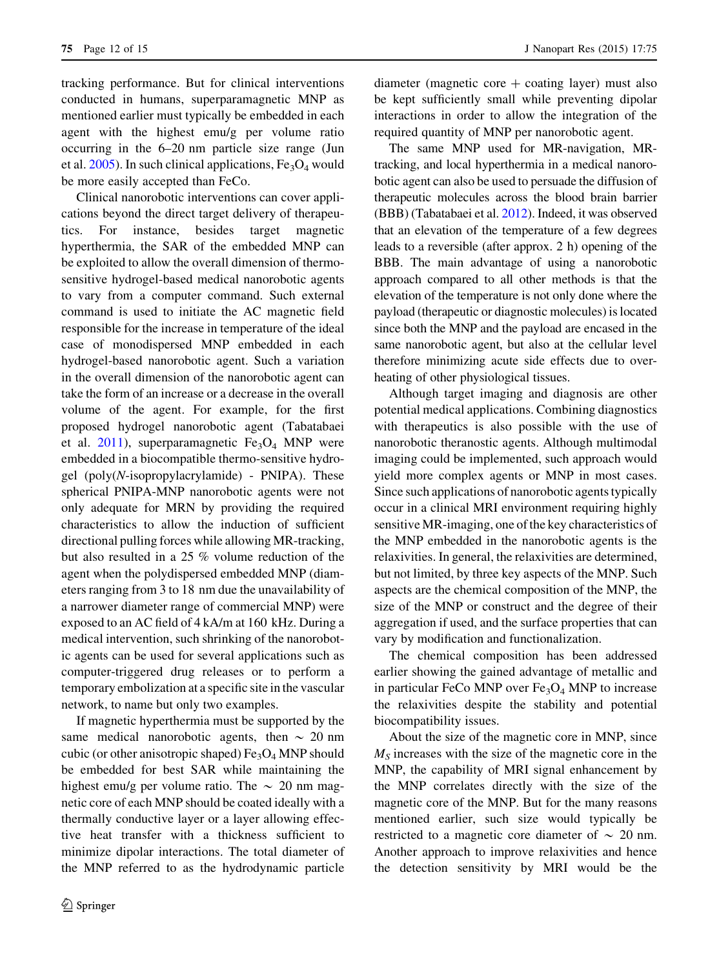tracking performance. But for clinical interventions conducted in humans, superparamagnetic MNP as mentioned earlier must typically be embedded in each agent with the highest emu/g per volume ratio occurring in the 6–20 nm particle size range (Jun et al.  $2005$ ). In such clinical applications,  $Fe<sub>3</sub>O<sub>4</sub>$  would be more easily accepted than FeCo.

Clinical nanorobotic interventions can cover applications beyond the direct target delivery of therapeutics. For instance, besides target magnetic hyperthermia, the SAR of the embedded MNP can be exploited to allow the overall dimension of thermosensitive hydrogel-based medical nanorobotic agents to vary from a computer command. Such external command is used to initiate the AC magnetic field responsible for the increase in temperature of the ideal case of monodispersed MNP embedded in each hydrogel-based nanorobotic agent. Such a variation in the overall dimension of the nanorobotic agent can take the form of an increase or a decrease in the overall volume of the agent. For example, for the first proposed hydrogel nanorobotic agent (Tabatabaei et al.  $2011$ ), superparamagnetic  $Fe<sub>3</sub>O<sub>4</sub>$  MNP were embedded in a biocompatible thermo-sensitive hydrogel (poly(N-isopropylacrylamide) - PNIPA). These spherical PNIPA-MNP nanorobotic agents were not only adequate for MRN by providing the required characteristics to allow the induction of sufficient directional pulling forces while allowing MR-tracking, but also resulted in a 25 % volume reduction of the agent when the polydispersed embedded MNP (diameters ranging from 3 to 18 nm due the unavailability of a narrower diameter range of commercial MNP) were exposed to an AC field of 4 kA/m at 160 kHz. During a medical intervention, such shrinking of the nanorobotic agents can be used for several applications such as computer-triggered drug releases or to perform a temporary embolization at a specific site in the vascular network, to name but only two examples.

If magnetic hyperthermia must be supported by the same medical nanorobotic agents, then  $\sim$  20 nm cubic (or other anisotropic shaped)  $Fe<sub>3</sub>O<sub>4</sub> MNP$  should be embedded for best SAR while maintaining the highest emu/g per volume ratio. The  $\sim$  20 nm magnetic core of each MNP should be coated ideally with a thermally conductive layer or a layer allowing effective heat transfer with a thickness sufficient to minimize dipolar interactions. The total diameter of the MNP referred to as the hydrodynamic particle

diameter (magnetic core  $+$  coating layer) must also be kept sufficiently small while preventing dipolar interactions in order to allow the integration of the required quantity of MNP per nanorobotic agent.

The same MNP used for MR-navigation, MRtracking, and local hyperthermia in a medical nanorobotic agent can also be used to persuade the diffusion of therapeutic molecules across the blood brain barrier (BBB) (Tabatabaei et al. [2012\)](#page-14-0). Indeed, it was observed that an elevation of the temperature of a few degrees leads to a reversible (after approx. 2 h) opening of the BBB. The main advantage of using a nanorobotic approach compared to all other methods is that the elevation of the temperature is not only done where the payload (therapeutic or diagnostic molecules) is located since both the MNP and the payload are encased in the same nanorobotic agent, but also at the cellular level therefore minimizing acute side effects due to overheating of other physiological tissues.

Although target imaging and diagnosis are other potential medical applications. Combining diagnostics with therapeutics is also possible with the use of nanorobotic theranostic agents. Although multimodal imaging could be implemented, such approach would yield more complex agents or MNP in most cases. Since such applications of nanorobotic agents typically occur in a clinical MRI environment requiring highly sensitive MR-imaging, one of the key characteristics of the MNP embedded in the nanorobotic agents is the relaxivities. In general, the relaxivities are determined, but not limited, by three key aspects of the MNP. Such aspects are the chemical composition of the MNP, the size of the MNP or construct and the degree of their aggregation if used, and the surface properties that can vary by modification and functionalization.

The chemical composition has been addressed earlier showing the gained advantage of metallic and in particular FeCo MNP over  $Fe<sub>3</sub>O<sub>4</sub>$  MNP to increase the relaxivities despite the stability and potential biocompatibility issues.

About the size of the magnetic core in MNP, since  $M<sub>S</sub>$  increases with the size of the magnetic core in the MNP, the capability of MRI signal enhancement by the MNP correlates directly with the size of the magnetic core of the MNP. But for the many reasons mentioned earlier, such size would typically be restricted to a magnetic core diameter of  $\sim$  20 nm. Another approach to improve relaxivities and hence the detection sensitivity by MRI would be the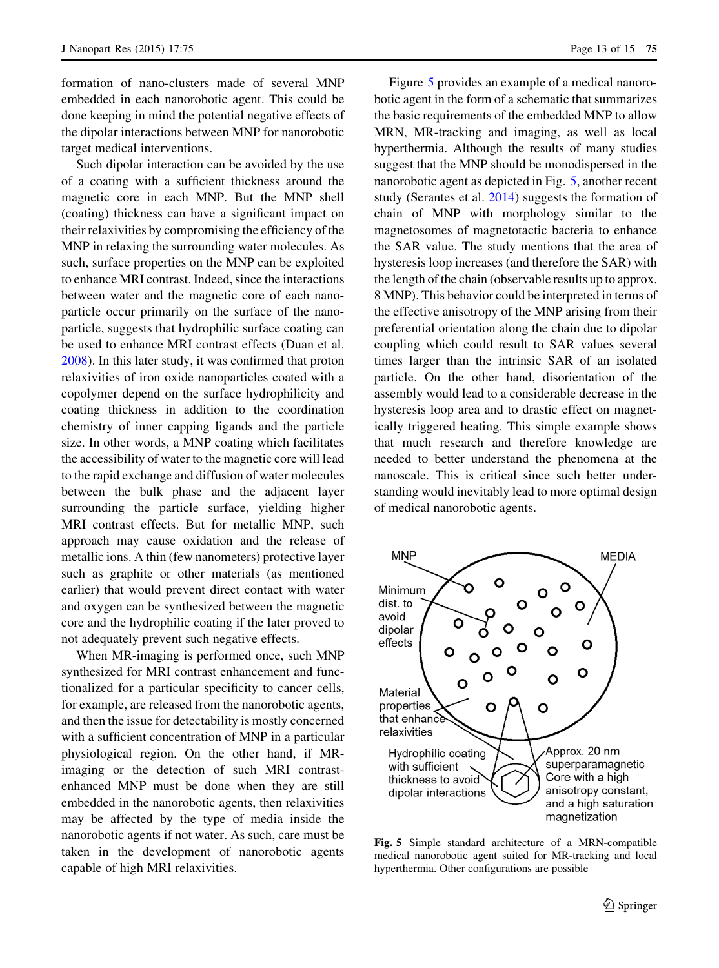formation of nano-clusters made of several MNP embedded in each nanorobotic agent. This could be done keeping in mind the potential negative effects of the dipolar interactions between MNP for nanorobotic target medical interventions.

Such dipolar interaction can be avoided by the use of a coating with a sufficient thickness around the magnetic core in each MNP. But the MNP shell (coating) thickness can have a significant impact on their relaxivities by compromising the efficiency of the MNP in relaxing the surrounding water molecules. As such, surface properties on the MNP can be exploited to enhance MRI contrast. Indeed, since the interactions between water and the magnetic core of each nanoparticle occur primarily on the surface of the nanoparticle, suggests that hydrophilic surface coating can be used to enhance MRI contrast effects (Duan et al. [2008\)](#page-13-0). In this later study, it was confirmed that proton relaxivities of iron oxide nanoparticles coated with a copolymer depend on the surface hydrophilicity and coating thickness in addition to the coordination chemistry of inner capping ligands and the particle size. In other words, a MNP coating which facilitates the accessibility of water to the magnetic core will lead to the rapid exchange and diffusion of water molecules between the bulk phase and the adjacent layer surrounding the particle surface, yielding higher MRI contrast effects. But for metallic MNP, such approach may cause oxidation and the release of metallic ions. A thin (few nanometers) protective layer such as graphite or other materials (as mentioned earlier) that would prevent direct contact with water and oxygen can be synthesized between the magnetic core and the hydrophilic coating if the later proved to not adequately prevent such negative effects.

When MR-imaging is performed once, such MNP synthesized for MRI contrast enhancement and functionalized for a particular specificity to cancer cells, for example, are released from the nanorobotic agents, and then the issue for detectability is mostly concerned with a sufficient concentration of MNP in a particular physiological region. On the other hand, if MRimaging or the detection of such MRI contrastenhanced MNP must be done when they are still embedded in the nanorobotic agents, then relaxivities may be affected by the type of media inside the nanorobotic agents if not water. As such, care must be taken in the development of nanorobotic agents capable of high MRI relaxivities.

Figure 5 provides an example of a medical nanorobotic agent in the form of a schematic that summarizes the basic requirements of the embedded MNP to allow MRN, MR-tracking and imaging, as well as local hyperthermia. Although the results of many studies suggest that the MNP should be monodispersed in the nanorobotic agent as depicted in Fig. 5, another recent study (Serantes et al. [2014\)](#page-14-0) suggests the formation of chain of MNP with morphology similar to the magnetosomes of magnetotactic bacteria to enhance the SAR value. The study mentions that the area of hysteresis loop increases (and therefore the SAR) with the length of the chain (observable results up to approx. 8 MNP). This behavior could be interpreted in terms of the effective anisotropy of the MNP arising from their preferential orientation along the chain due to dipolar coupling which could result to SAR values several times larger than the intrinsic SAR of an isolated particle. On the other hand, disorientation of the assembly would lead to a considerable decrease in the hysteresis loop area and to drastic effect on magnetically triggered heating. This simple example shows that much research and therefore knowledge are needed to better understand the phenomena at the nanoscale. This is critical since such better understanding would inevitably lead to more optimal design of medical nanorobotic agents.



Fig. 5 Simple standard architecture of a MRN-compatible medical nanorobotic agent suited for MR-tracking and local hyperthermia. Other configurations are possible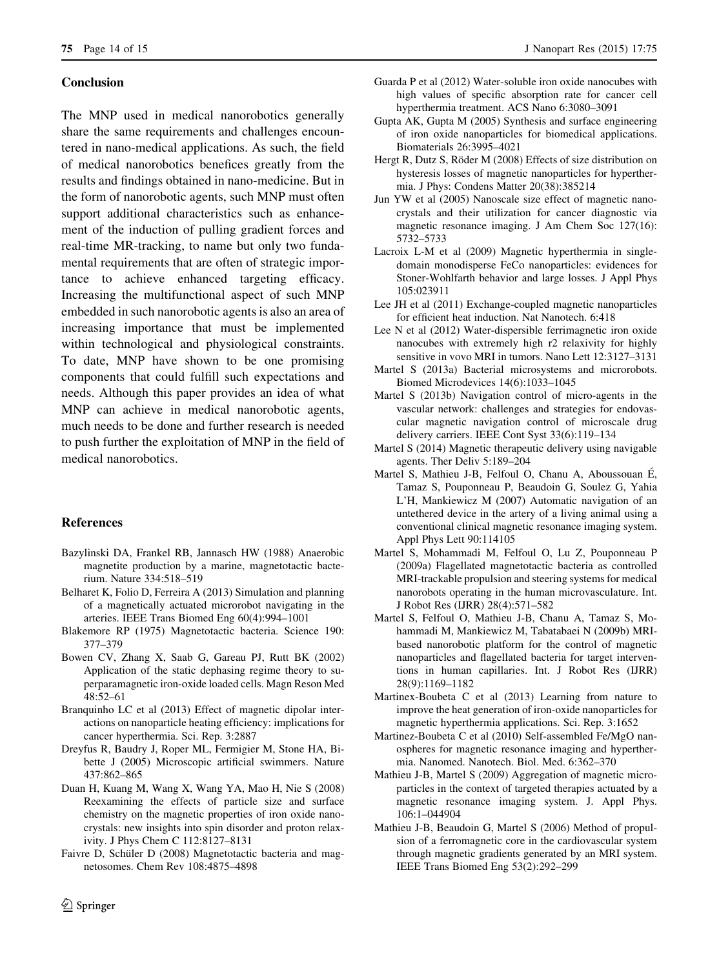<span id="page-13-0"></span>The MNP used in medical nanorobotics generally share the same requirements and challenges encountered in nano-medical applications. As such, the field of medical nanorobotics benefices greatly from the results and findings obtained in nano-medicine. But in the form of nanorobotic agents, such MNP must often support additional characteristics such as enhancement of the induction of pulling gradient forces and real-time MR-tracking, to name but only two fundamental requirements that are often of strategic importance to achieve enhanced targeting efficacy. Increasing the multifunctional aspect of such MNP embedded in such nanorobotic agents is also an area of increasing importance that must be implemented within technological and physiological constraints. To date, MNP have shown to be one promising components that could fulfill such expectations and needs. Although this paper provides an idea of what MNP can achieve in medical nanorobotic agents, much needs to be done and further research is needed to push further the exploitation of MNP in the field of medical nanorobotics.

## References

- Bazylinski DA, Frankel RB, Jannasch HW (1988) Anaerobic magnetite production by a marine, magnetotactic bacterium. Nature 334:518–519
- Belharet K, Folio D, Ferreira A (2013) Simulation and planning of a magnetically actuated microrobot navigating in the arteries. IEEE Trans Biomed Eng 60(4):994–1001
- Blakemore RP (1975) Magnetotactic bacteria. Science 190: 377–379
- Bowen CV, Zhang X, Saab G, Gareau PJ, Rutt BK (2002) Application of the static dephasing regime theory to superparamagnetic iron-oxide loaded cells. Magn Reson Med 48:52–61
- Branquinho LC et al (2013) Effect of magnetic dipolar interactions on nanoparticle heating efficiency: implications for cancer hyperthermia. Sci. Rep. 3:2887
- Dreyfus R, Baudry J, Roper ML, Fermigier M, Stone HA, Bibette J (2005) Microscopic artificial swimmers. Nature 437:862–865
- Duan H, Kuang M, Wang X, Wang YA, Mao H, Nie S (2008) Reexamining the effects of particle size and surface chemistry on the magnetic properties of iron oxide nanocrystals: new insights into spin disorder and proton relaxivity. J Phys Chem C 112:8127–8131
- Faivre D, Schüler D (2008) Magnetotactic bacteria and magnetosomes. Chem Rev 108:4875–4898
- Guarda P et al (2012) Water-soluble iron oxide nanocubes with high values of specific absorption rate for cancer cell hyperthermia treatment. ACS Nano 6:3080–3091
- Gupta AK, Gupta M (2005) Synthesis and surface engineering of iron oxide nanoparticles for biomedical applications. Biomaterials 26:3995–4021
- Hergt R, Dutz S, Röder M (2008) Effects of size distribution on hysteresis losses of magnetic nanoparticles for hyperthermia. J Phys: Condens Matter 20(38):385214
- Jun YW et al (2005) Nanoscale size effect of magnetic nanocrystals and their utilization for cancer diagnostic via magnetic resonance imaging. J Am Chem Soc 127(16): 5732–5733
- Lacroix L-M et al (2009) Magnetic hyperthermia in singledomain monodisperse FeCo nanoparticles: evidences for Stoner-Wohlfarth behavior and large losses. J Appl Phys 105:023911
- Lee JH et al (2011) Exchange-coupled magnetic nanoparticles for efficient heat induction. Nat Nanotech. 6:418
- Lee N et al (2012) Water-dispersible ferrimagnetic iron oxide nanocubes with extremely high r2 relaxivity for highly sensitive in vovo MRI in tumors. Nano Lett 12:3127–3131
- Martel S (2013a) Bacterial microsystems and microrobots. Biomed Microdevices 14(6):1033–1045
- Martel S (2013b) Navigation control of micro-agents in the vascular network: challenges and strategies for endovascular magnetic navigation control of microscale drug delivery carriers. IEEE Cont Syst 33(6):119–134
- Martel S (2014) Magnetic therapeutic delivery using navigable agents. Ther Deliv 5:189–204
- Martel S, Mathieu J-B, Felfoul O, Chanu A, Aboussouan É, Tamaz S, Pouponneau P, Beaudoin G, Soulez G, Yahia L'H, Mankiewicz M (2007) Automatic navigation of an untethered device in the artery of a living animal using a conventional clinical magnetic resonance imaging system. Appl Phys Lett 90:114105
- Martel S, Mohammadi M, Felfoul O, Lu Z, Pouponneau P (2009a) Flagellated magnetotactic bacteria as controlled MRI-trackable propulsion and steering systems for medical nanorobots operating in the human microvasculature. Int. J Robot Res (IJRR) 28(4):571–582
- Martel S, Felfoul O, Mathieu J-B, Chanu A, Tamaz S, Mohammadi M, Mankiewicz M, Tabatabaei N (2009b) MRIbased nanorobotic platform for the control of magnetic nanoparticles and flagellated bacteria for target interventions in human capillaries. Int. J Robot Res (IJRR) 28(9):1169–1182
- Martinex-Boubeta C et al (2013) Learning from nature to improve the heat generation of iron-oxide nanoparticles for magnetic hyperthermia applications. Sci. Rep. 3:1652
- Martinez-Boubeta C et al (2010) Self-assembled Fe/MgO nanospheres for magnetic resonance imaging and hyperthermia. Nanomed. Nanotech. Biol. Med. 6:362–370
- Mathieu J-B, Martel S (2009) Aggregation of magnetic microparticles in the context of targeted therapies actuated by a magnetic resonance imaging system. J. Appl Phys. 106:1–044904
- Mathieu J-B, Beaudoin G, Martel S (2006) Method of propulsion of a ferromagnetic core in the cardiovascular system through magnetic gradients generated by an MRI system. IEEE Trans Biomed Eng 53(2):292–299